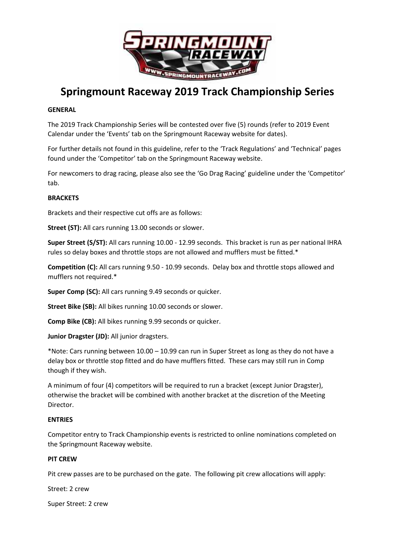

# **Springmount Raceway 2019 Track Championship Series**

### **GENERAL**

The 2019 Track Championship Series will be contested over five (5) rounds (refer to 2019 Event Calendar under the 'Events' tab on the Springmount Raceway website for dates).

For further details not found in this guideline, refer to the 'Track Regulations' and 'Technical' pages found under the 'Competitor' tab on the Springmount Raceway website.

For newcomers to drag racing, please also see the 'Go Drag Racing' guideline under the 'Competitor' tab.

### **BRACKETS**

Brackets and their respective cut offs are as follows:

**Street (ST):** All cars running 13.00 seconds or slower.

**Super Street (S/ST):** All cars running 10.00 - 12.99 seconds. This bracket is run as per national IHRA rules so delay boxes and throttle stops are not allowed and mufflers must be fitted.\*

**Competition (C):** All cars running 9.50 - 10.99 seconds. Delay box and throttle stops allowed and mufflers not required.\*

**Super Comp (SC):** All cars running 9.49 seconds or quicker.

**Street Bike (SB):** All bikes running 10.00 seconds or slower.

**Comp Bike (CB):** All bikes running 9.99 seconds or quicker.

**Junior Dragster (JD):** All junior dragsters.

\*Note: Cars running between 10.00 – 10.99 can run in Super Street as long as they do not have a delay box or throttle stop fitted and do have mufflers fitted. These cars may still run in Comp though if they wish.

A minimum of four (4) competitors will be required to run a bracket (except Junior Dragster), otherwise the bracket will be combined with another bracket at the discretion of the Meeting Director.

#### **ENTRIES**

Competitor entry to Track Championship events is restricted to online nominations completed on the Springmount Raceway website.

#### **PIT CREW**

Pit crew passes are to be purchased on the gate. The following pit crew allocations will apply:

Street: 2 crew

Super Street: 2 crew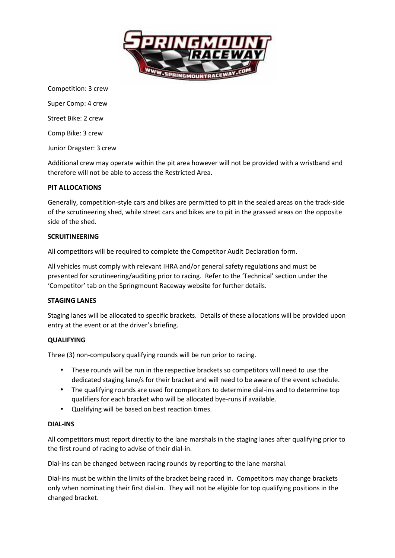

Competition: 3 crew

Super Comp: 4 crew

Street Bike: 2 crew

Comp Bike: 3 crew

Junior Dragster: 3 crew

Additional crew may operate within the pit area however will not be provided with a wristband and therefore will not be able to access the Restricted Area.

#### **PIT ALLOCATIONS**

Generally, competition-style cars and bikes are permitted to pit in the sealed areas on the track-side of the scrutineering shed, while street cars and bikes are to pit in the grassed areas on the opposite side of the shed.

#### **SCRUITINEERING**

All competitors will be required to complete the Competitor Audit Declaration form.

All vehicles must comply with relevant IHRA and/or general safety regulations and must be presented for scrutineering/auditing prior to racing. Refer to the 'Technical' section under the 'Competitor' tab on the Springmount Raceway website for further details.

#### **STAGING LANES**

Staging lanes will be allocated to specific brackets. Details of these allocations will be provided upon entry at the event or at the driver's briefing.

#### **QUALIFYING**

Three (3) non-compulsory qualifying rounds will be run prior to racing.

- These rounds will be run in the respective brackets so competitors will need to use the dedicated staging lane/s for their bracket and will need to be aware of the event schedule.
- The qualifying rounds are used for competitors to determine dial-ins and to determine top qualifiers for each bracket who will be allocated bye-runs if available.
- Qualifying will be based on best reaction times.

#### **DIAL-INS**

All competitors must report directly to the lane marshals in the staging lanes after qualifying prior to the first round of racing to advise of their dial-in.

Dial-ins can be changed between racing rounds by reporting to the lane marshal.

Dial-ins must be within the limits of the bracket being raced in. Competitors may change brackets only when nominating their first dial-in. They will not be eligible for top qualifying positions in the changed bracket.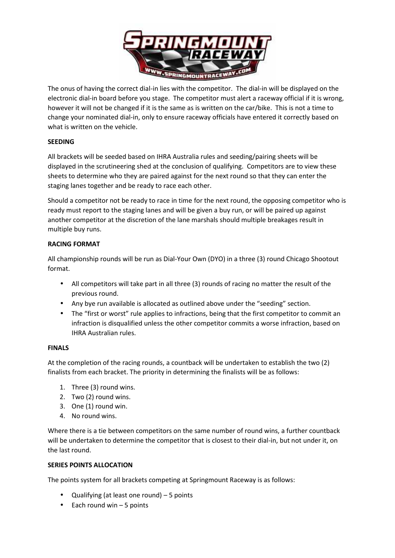

The onus of having the correct dial-in lies with the competitor. The dial-in will be displayed on the electronic dial-in board before you stage. The competitor must alert a raceway official if it is wrong, however it will not be changed if it is the same as is written on the car/bike. This is not a time to change your nominated dial-in, only to ensure raceway officials have entered it correctly based on what is written on the vehicle.

## **SEEDING**

All brackets will be seeded based on IHRA Australia rules and seeding/pairing sheets will be displayed in the scrutineering shed at the conclusion of qualifying. Competitors are to view these sheets to determine who they are paired against for the next round so that they can enter the staging lanes together and be ready to race each other.

Should a competitor not be ready to race in time for the next round, the opposing competitor who is ready must report to the staging lanes and will be given a buy run, or will be paired up against another competitor at the discretion of the lane marshals should multiple breakages result in multiple buy runs.

## **RACING FORMAT**

All championship rounds will be run as Dial-Your Own (DYO) in a three (3) round Chicago Shootout format.

- All competitors will take part in all three (3) rounds of racing no matter the result of the previous round.
- Any bye run available is allocated as outlined above under the "seeding" section.
- The "first or worst" rule applies to infractions, being that the first competitor to commit an infraction is disqualified unless the other competitor commits a worse infraction, based on IHRA Australian rules.

## **FINALS**

At the completion of the racing rounds, a countback will be undertaken to establish the two (2) finalists from each bracket. The priority in determining the finalists will be as follows:

- 1. Three (3) round wins.
- 2. Two (2) round wins.
- 3. One (1) round win.
- 4. No round wins.

Where there is a tie between competitors on the same number of round wins, a further countback will be undertaken to determine the competitor that is closest to their dial-in, but not under it, on the last round.

## **SERIES POINTS ALLOCATION**

The points system for all brackets competing at Springmount Raceway is as follows:

- Qualifying (at least one round)  $-5$  points
- $\bullet$  Each round win  $-5$  points